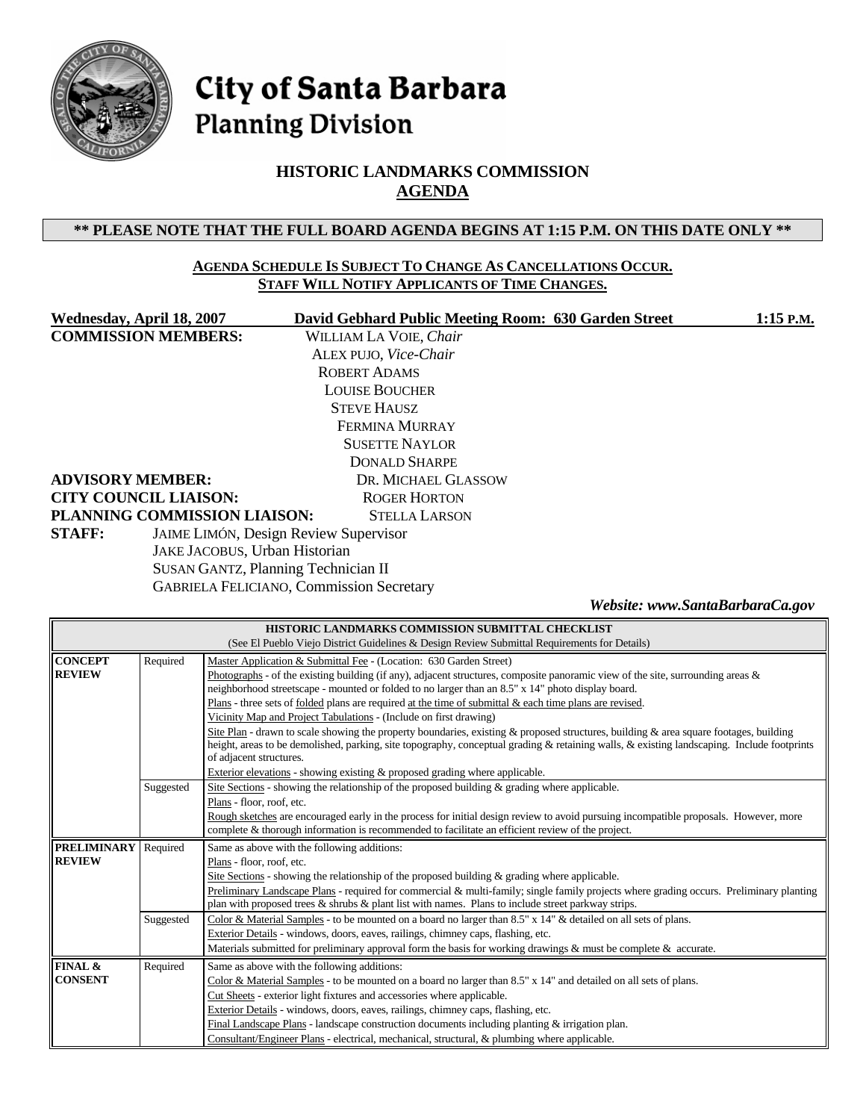

# City of Santa Barbara **Planning Division**

# **HISTORIC LANDMARKS COMMISSION AGENDA**

### **\*\* PLEASE NOTE THAT THE FULL BOARD AGENDA BEGINS AT 1:15 P.M. ON THIS DATE ONLY \*\***

#### **AGENDA SCHEDULE IS SUBJECT TO CHANGE AS CANCELLATIONS OCCUR. STAFF WILL NOTIFY APPLICANTS OF TIME CHANGES.**

| Wednesday, April 18, 2007                  | David Gebhard Public Meeting Room: 630 Garden Street | $1:15$ P.M.                     |
|--------------------------------------------|------------------------------------------------------|---------------------------------|
| <b>COMMISSION MEMBERS:</b>                 | WILLIAM LA VOIE, Chair                               |                                 |
|                                            | ALEX PUJO, Vice-Chair                                |                                 |
|                                            | <b>ROBERT ADAMS</b>                                  |                                 |
|                                            | <b>LOUISE BOUCHER</b>                                |                                 |
|                                            | <b>STEVE HAUSZ</b>                                   |                                 |
|                                            | FERMINA MURRAY                                       |                                 |
|                                            | <b>SUSETTE NAYLOR</b>                                |                                 |
|                                            | <b>DONALD SHARPE</b>                                 |                                 |
| <b>ADVISORY MEMBER:</b>                    | DR. MICHAEL GLASSOW                                  |                                 |
| <b>CITY COUNCIL LIAISON:</b>               | <b>ROGER HORTON</b>                                  |                                 |
| PLANNING COMMISSION LIAISON:               | <b>STELLA LARSON</b>                                 |                                 |
| <b>STAFF:</b>                              | <b>JAIME LIMÓN, Design Review Supervisor</b>         |                                 |
| JAKE JACOBUS, Urban Historian              |                                                      |                                 |
| <b>SUSAN GANTZ, Planning Technician II</b> |                                                      |                                 |
|                                            | <b>GABRIELA FELICIANO, Commission Secretary</b>      |                                 |
|                                            |                                                      | Website: www.SantaBarbaraCa.gov |

| HISTORIC LANDMARKS COMMISSION SUBMITTAL CHECKLIST |                                                                                              |                                                                                                                                                                       |  |  |  |  |
|---------------------------------------------------|----------------------------------------------------------------------------------------------|-----------------------------------------------------------------------------------------------------------------------------------------------------------------------|--|--|--|--|
|                                                   | (See El Pueblo Viejo District Guidelines & Design Review Submittal Requirements for Details) |                                                                                                                                                                       |  |  |  |  |
| <b>CONCEPT</b>                                    | Required                                                                                     | Master Application & Submittal Fee - (Location: 630 Garden Street)                                                                                                    |  |  |  |  |
| <b>REVIEW</b>                                     |                                                                                              | Photographs - of the existing building (if any), adjacent structures, composite panoramic view of the site, surrounding areas $\&$                                    |  |  |  |  |
|                                                   |                                                                                              | neighborhood streetscape - mounted or folded to no larger than an 8.5" x 14" photo display board.                                                                     |  |  |  |  |
|                                                   |                                                                                              | Plans - three sets of folded plans are required at the time of submittal $\&$ each time plans are revised.                                                            |  |  |  |  |
|                                                   |                                                                                              | Vicinity Map and Project Tabulations - (Include on first drawing)                                                                                                     |  |  |  |  |
|                                                   |                                                                                              | Site Plan - drawn to scale showing the property boundaries, existing & proposed structures, building & area square footages, building                                 |  |  |  |  |
|                                                   |                                                                                              | height, areas to be demolished, parking, site topography, conceptual grading & retaining walls, & existing landscaping. Include footprints<br>of adjacent structures. |  |  |  |  |
|                                                   |                                                                                              | Exterior elevations - showing existing & proposed grading where applicable.                                                                                           |  |  |  |  |
|                                                   | Suggested                                                                                    | Site Sections - showing the relationship of the proposed building $\&$ grading where applicable.                                                                      |  |  |  |  |
|                                                   |                                                                                              | Plans - floor, roof, etc.                                                                                                                                             |  |  |  |  |
|                                                   |                                                                                              | Rough sketches are encouraged early in the process for initial design review to avoid pursuing incompatible proposals. However, more                                  |  |  |  |  |
|                                                   |                                                                                              | complete & thorough information is recommended to facilitate an efficient review of the project.                                                                      |  |  |  |  |
| <b>PRELIMINARY</b>                                | Required                                                                                     | Same as above with the following additions:                                                                                                                           |  |  |  |  |
| <b>REVIEW</b>                                     |                                                                                              | Plans - floor, roof, etc.                                                                                                                                             |  |  |  |  |
|                                                   |                                                                                              | Site Sections - showing the relationship of the proposed building $\&$ grading where applicable.                                                                      |  |  |  |  |
|                                                   |                                                                                              | Preliminary Landscape Plans - required for commercial & multi-family; single family projects where grading occurs. Preliminary planting                               |  |  |  |  |
|                                                   |                                                                                              | plan with proposed trees $\&$ shrubs $\&$ plant list with names. Plans to include street parkway strips.                                                              |  |  |  |  |
|                                                   | Suggested                                                                                    | Color & Material Samples - to be mounted on a board no larger than 8.5" x 14" & detailed on all sets of plans.                                                        |  |  |  |  |
|                                                   |                                                                                              | Exterior Details - windows, doors, eaves, railings, chimney caps, flashing, etc.                                                                                      |  |  |  |  |
|                                                   |                                                                                              | Materials submitted for preliminary approval form the basis for working drawings & must be complete $\&$ accurate.                                                    |  |  |  |  |
| FINAL &                                           | Required                                                                                     | Same as above with the following additions:                                                                                                                           |  |  |  |  |
| <b>CONSENT</b>                                    |                                                                                              | Color & Material Samples - to be mounted on a board no larger than $8.5" \times 14"$ and detailed on all sets of plans.                                               |  |  |  |  |
|                                                   |                                                                                              | Cut Sheets - exterior light fixtures and accessories where applicable.                                                                                                |  |  |  |  |
|                                                   |                                                                                              | Exterior Details - windows, doors, eaves, railings, chimney caps, flashing, etc.                                                                                      |  |  |  |  |
|                                                   |                                                                                              | Final Landscape Plans - landscape construction documents including planting $&$ irrigation plan.                                                                      |  |  |  |  |
|                                                   |                                                                                              | Consultant/Engineer Plans - electrical, mechanical, structural, & plumbing where applicable.                                                                          |  |  |  |  |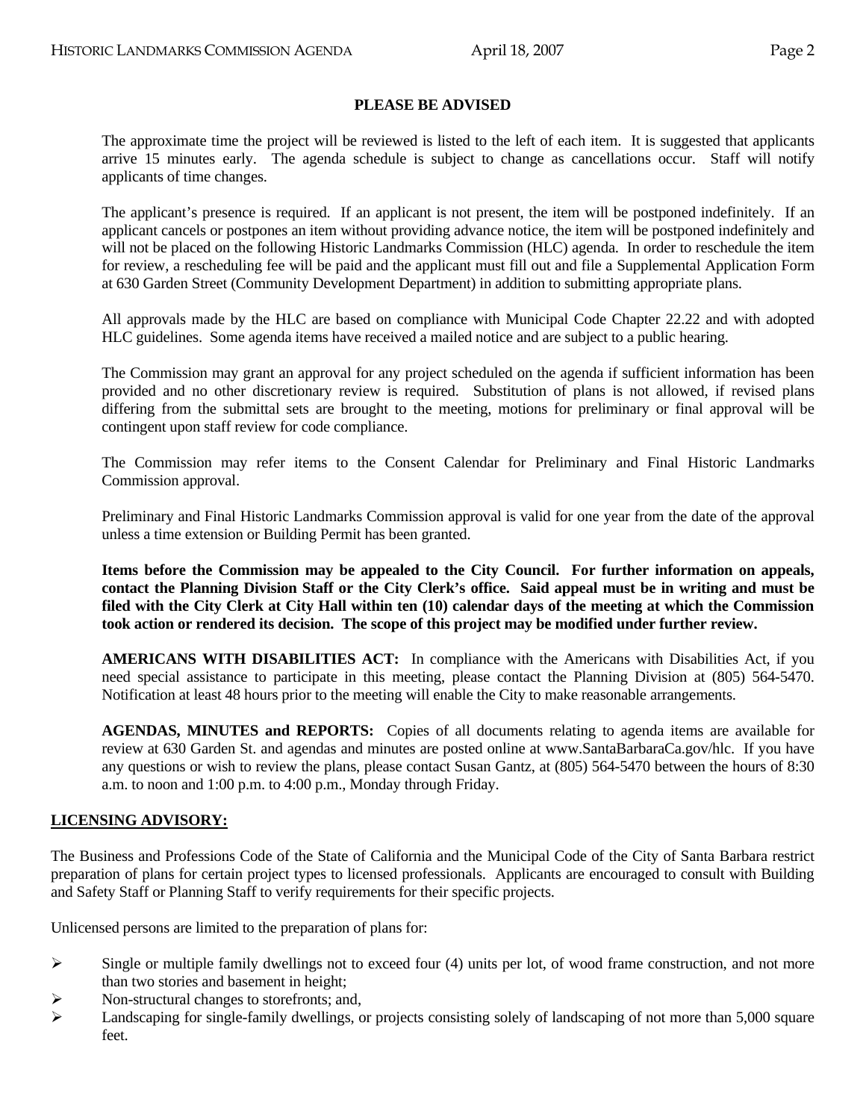### **PLEASE BE ADVISED**

 The approximate time the project will be reviewed is listed to the left of each item. It is suggested that applicants arrive 15 minutes early. The agenda schedule is subject to change as cancellations occur. Staff will notify applicants of time changes.

 The applicant's presence is required. If an applicant is not present, the item will be postponed indefinitely. If an applicant cancels or postpones an item without providing advance notice, the item will be postponed indefinitely and will not be placed on the following Historic Landmarks Commission (HLC) agenda. In order to reschedule the item for review, a rescheduling fee will be paid and the applicant must fill out and file a Supplemental Application Form at 630 Garden Street (Community Development Department) in addition to submitting appropriate plans.

 All approvals made by the HLC are based on compliance with Municipal Code Chapter 22.22 and with adopted HLC guidelines. Some agenda items have received a mailed notice and are subject to a public hearing.

 The Commission may grant an approval for any project scheduled on the agenda if sufficient information has been provided and no other discretionary review is required. Substitution of plans is not allowed, if revised plans differing from the submittal sets are brought to the meeting, motions for preliminary or final approval will be contingent upon staff review for code compliance.

 The Commission may refer items to the Consent Calendar for Preliminary and Final Historic Landmarks Commission approval.

 Preliminary and Final Historic Landmarks Commission approval is valid for one year from the date of the approval unless a time extension or Building Permit has been granted.

**Items before the Commission may be appealed to the City Council. For further information on appeals, contact the Planning Division Staff or the City Clerk's office. Said appeal must be in writing and must be filed with the City Clerk at City Hall within ten (10) calendar days of the meeting at which the Commission took action or rendered its decision. The scope of this project may be modified under further review.** 

 **AMERICANS WITH DISABILITIES ACT:** In compliance with the Americans with Disabilities Act, if you need special assistance to participate in this meeting, please contact the Planning Division at (805) 564-5470. Notification at least 48 hours prior to the meeting will enable the City to make reasonable arrangements.

 **AGENDAS, MINUTES and REPORTS:** Copies of all documents relating to agenda items are available for review at 630 Garden St. and agendas and minutes are posted online at [www.SantaBarbaraCa.gov/](http://www.santabarbaraca.gov/)hlc. If you have any questions or wish to review the plans, please contact Susan Gantz, at (805) 564-5470 between the hours of 8:30 a.m. to noon and 1:00 p.m. to 4:00 p.m., Monday through Friday.

### **LICENSING ADVISORY:**

The Business and Professions Code of the State of California and the Municipal Code of the City of Santa Barbara restrict preparation of plans for certain project types to licensed professionals. Applicants are encouraged to consult with Building and Safety Staff or Planning Staff to verify requirements for their specific projects.

Unlicensed persons are limited to the preparation of plans for:

- $\triangleright$  Single or multiple family dwellings not to exceed four (4) units per lot, of wood frame construction, and not more than two stories and basement in height;
- $\triangleright$  Non-structural changes to storefronts; and,
- $\blacktriangleright$  Landscaping for single-family dwellings, or projects consisting solely of landscaping of not more than 5,000 square feet.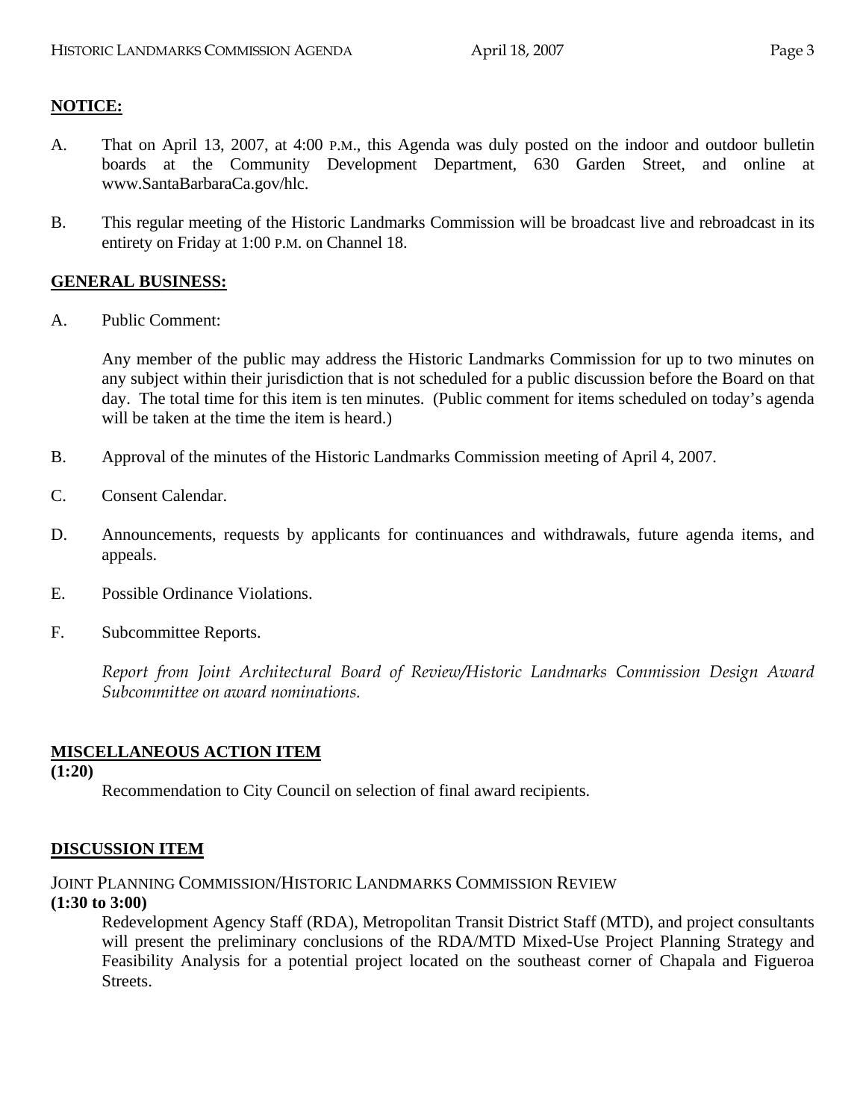# **NOTICE:**

- A. That on April 13, 2007, at 4:00 P.M., this Agenda was duly posted on the indoor and outdoor bulletin boards at the Community Development Department, 630 Garden Street, and online at www.SantaBarbaraCa.gov/hlc.
- B. This regular meeting of the Historic Landmarks Commission will be broadcast live and rebroadcast in its entirety on Friday at 1:00 P.M. on Channel 18.

### **GENERAL BUSINESS:**

A. Public Comment:

Any member of the public may address the Historic Landmarks Commission for up to two minutes on any subject within their jurisdiction that is not scheduled for a public discussion before the Board on that day. The total time for this item is ten minutes. (Public comment for items scheduled on today's agenda will be taken at the time the item is heard.)

- B. Approval of the minutes of the Historic Landmarks Commission meeting of April 4, 2007.
- C. Consent Calendar.
- D. Announcements, requests by applicants for continuances and withdrawals, future agenda items, and appeals.
- E. Possible Ordinance Violations.
- F. Subcommittee Reports.

*Report from Joint Architectural Board of Review/Historic Landmarks Commission Design Award Subcommittee on award nominations.* 

### **MISCELLANEOUS ACTION ITEM**

**(1:20)** 

Recommendation to City Council on selection of final award recipients.

### **DISCUSSION ITEM**

JOINT PLANNING COMMISSION/HISTORIC LANDMARKS COMMISSION REVIEW

### **(1:30 to 3:00)**

Redevelopment Agency Staff (RDA), Metropolitan Transit District Staff (MTD), and project consultants will present the preliminary conclusions of the RDA/MTD Mixed-Use Project Planning Strategy and Feasibility Analysis for a potential project located on the southeast corner of Chapala and Figueroa Streets.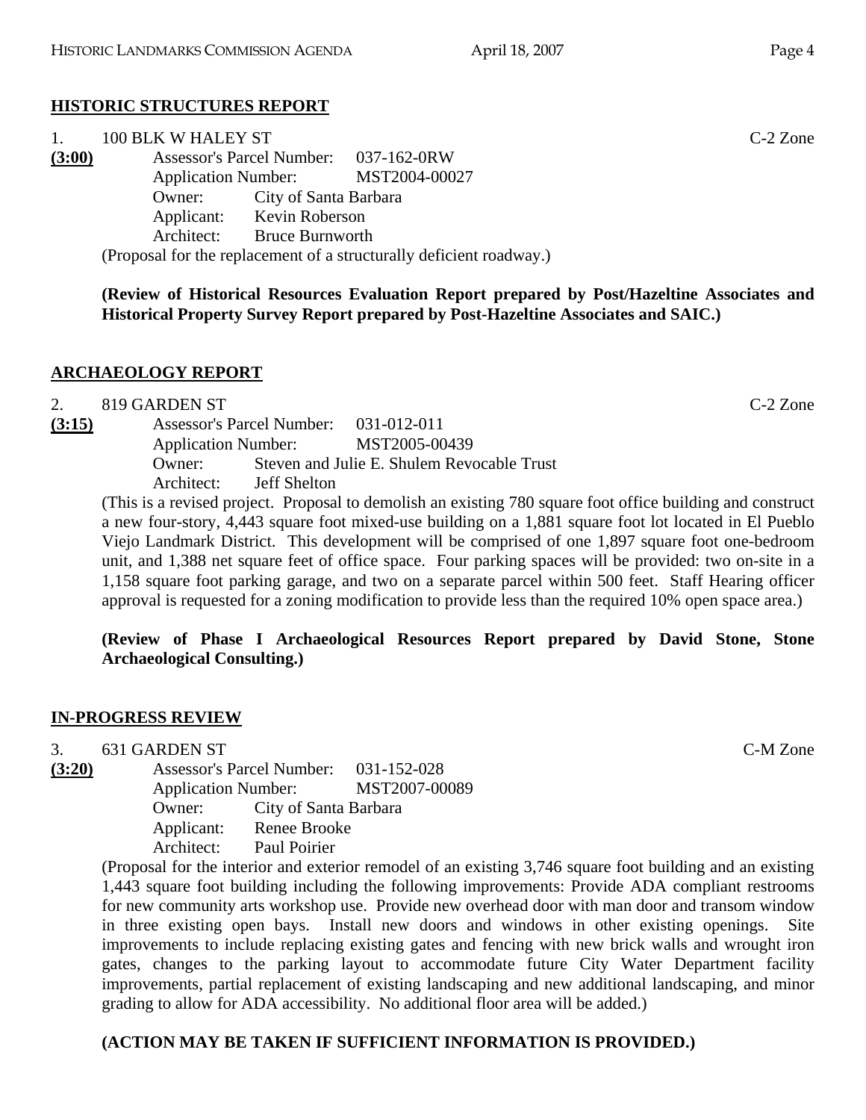# **HISTORIC STRUCTURES REPORT**

| 1.     | 100 BLK W HALEY ST                    |                                                                     | $C-2$ Zone |
|--------|---------------------------------------|---------------------------------------------------------------------|------------|
| (3:00) | Assessor's Parcel Number: 037-162-0RW |                                                                     |            |
|        | Application Number: MST2004-00027     |                                                                     |            |
|        | <b>Owner:</b> City of Santa Barbara   |                                                                     |            |
|        | Applicant: Kevin Roberson             |                                                                     |            |
|        | Architect: Bruce Burnworth            |                                                                     |            |
|        |                                       | (Proposal for the replacement of a structurally deficient roadway.) |            |

**(Review of Historical Resources Evaluation Report prepared by Post/Hazeltine Associates and Historical Property Survey Report prepared by Post-Hazeltine Associates and SAIC.)** 

# **ARCHAEOLOGY REPORT**

|        | 819 GARDEN ST |                                       |                                                                                                           | $C-2$ Zone |
|--------|---------------|---------------------------------------|-----------------------------------------------------------------------------------------------------------|------------|
| (3:15) |               | Assessor's Parcel Number: 031-012-011 |                                                                                                           |            |
|        |               |                                       | Application Number: MST2005-00439                                                                         |            |
|        | Owner:        |                                       | Steven and Julie E. Shulem Revocable Trust                                                                |            |
|        | Architect:    | Jeff Shelton                          |                                                                                                           |            |
|        |               |                                       | This is a revised project. Droposel to demolish an evicting 790 square feet office building and construct |            |

(This is a revised project. Proposal to demolish an existing 780 square foot office building and construct a new four-story, 4,443 square foot mixed-use building on a 1,881 square foot lot located in El Pueblo Viejo Landmark District. This development will be comprised of one 1,897 square foot one-bedroom unit, and 1,388 net square feet of office space. Four parking spaces will be provided: two on-site in a 1,158 square foot parking garage, and two on a separate parcel within 500 feet. Staff Hearing officer approval is requested for a zoning modification to provide less than the required 10% open space area.)

**(Review of Phase I Archaeological Resources Report prepared by David Stone, Stone Archaeological Consulting.)** 

# **IN-PROGRESS REVIEW**

3. 631 GARDEN ST C-M Zone

**(3:20)** Assessor's Parcel Number: 031-152-028 Application Number: MST2007-00089 Owner: City of Santa Barbara Applicant: Renee Brooke Architect: Paul Poirier

(Proposal for the interior and exterior remodel of an existing 3,746 square foot building and an existing 1,443 square foot building including the following improvements: Provide ADA compliant restrooms for new community arts workshop use. Provide new overhead door with man door and transom window in three existing open bays. Install new doors and windows in other existing openings. Site improvements to include replacing existing gates and fencing with new brick walls and wrought iron gates, changes to the parking layout to accommodate future City Water Department facility improvements, partial replacement of existing landscaping and new additional landscaping, and minor grading to allow for ADA accessibility. No additional floor area will be added.)

# **(ACTION MAY BE TAKEN IF SUFFICIENT INFORMATION IS PROVIDED.)**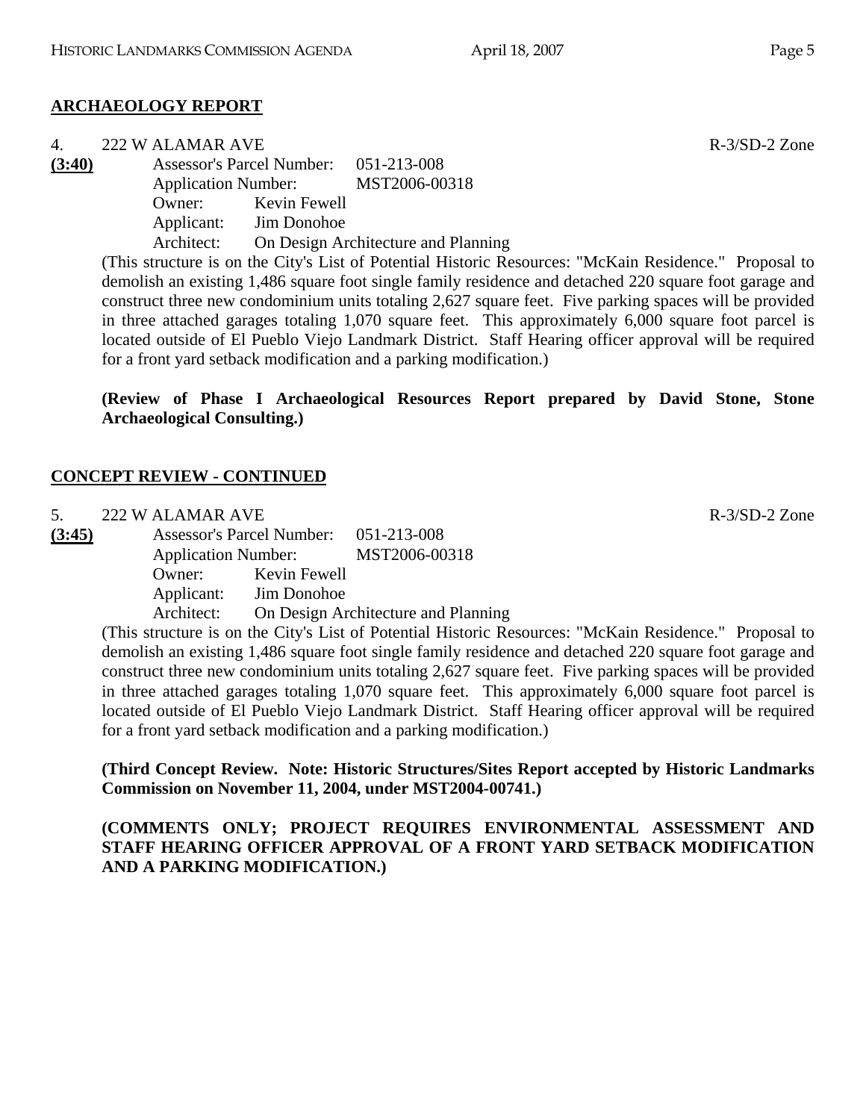# **ARCHAEOLOGY REPORT**

|        | 222 W ALAMAR AVE |
|--------|------------------|
| (2.40) | $\mathbf{1}$     |

**(3:40)** Assessor's Parcel Number: 051-213-008 Application Number: MST2006-00318

Owner: Kevin Fewell

Applicant: Jim Donohoe

Architect: On Design Architecture and Planning

(This structure is on the City's List of Potential Historic Resources: "McKain Residence." Proposal to demolish an existing 1,486 square foot single family residence and detached 220 square foot garage and construct three new condominium units totaling 2,627 square feet. Five parking spaces will be provided in three attached garages totaling 1,070 square feet. This approximately 6,000 square foot parcel is located outside of El Pueblo Viejo Landmark District. Staff Hearing officer approval will be required for a front yard setback modification and a parking modification.)

**(Review of Phase I Archaeological Resources Report prepared by David Stone, Stone Archaeological Consulting.)** 

# **CONCEPT REVIEW - CONTINUED**

5. 222 W ALAMAR AVE R-3/SD-2 Zone

**(3:45)** Assessor's Parcel Number: 051-213-008 Application Number: MST2006-00318 Owner: Kevin Fewell Applicant: Jim Donohoe Architect: On Design Architecture and Planning

(This structure is on the City's List of Potential Historic Resources: "McKain Residence." Proposal to demolish an existing 1,486 square foot single family residence and detached 220 square foot garage and construct three new condominium units totaling 2,627 square feet. Five parking spaces will be provided in three attached garages totaling 1,070 square feet. This approximately 6,000 square foot parcel is located outside of El Pueblo Viejo Landmark District. Staff Hearing officer approval will be required for a front yard setback modification and a parking modification.)

**(Third Concept Review. Note: Historic Structures/Sites Report accepted by Historic Landmarks Commission on November 11, 2004, under MST2004-00741.)** 

**(COMMENTS ONLY; PROJECT REQUIRES ENVIRONMENTAL ASSESSMENT AND STAFF HEARING OFFICER APPROVAL OF A FRONT YARD SETBACK MODIFICATION AND A PARKING MODIFICATION.)** 

 $R - 3/SD - 2$  Zone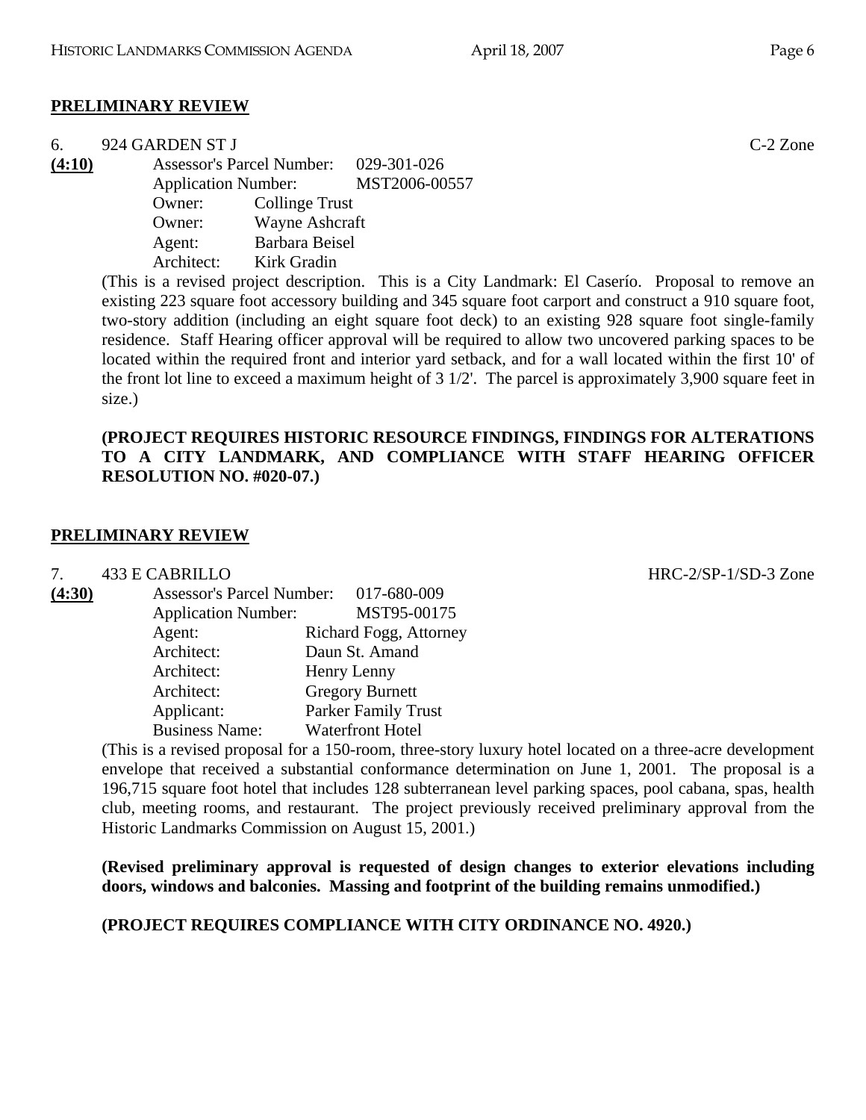# **PRELIMINARY REVIEW**

| 6.     |                                  | 924 GARDEN ST J            |                |                                            | $C-2$ Zone |
|--------|----------------------------------|----------------------------|----------------|--------------------------------------------|------------|
| (4:10) | <b>Assessor's Parcel Number:</b> |                            |                | 029-301-026                                |            |
|        |                                  | <b>Application Number:</b> |                | MST2006-00557                              |            |
|        |                                  | Owner:                     | Collinge Trust |                                            |            |
|        |                                  | Owner:                     | Wayne Ashcraft |                                            |            |
|        |                                  | Agent:                     | Barbara Beisel |                                            |            |
|        |                                  | Architect:                 | Kirk Gradin    |                                            |            |
|        |                                  |                            |                | ---<br>$\sim$ . $\sim$ . The set of $\sim$ |            |

(This is a revised project description. This is a City Landmark: El Caserío. Proposal to remove an existing 223 square foot accessory building and 345 square foot carport and construct a 910 square foot, two-story addition (including an eight square foot deck) to an existing 928 square foot single-family residence. Staff Hearing officer approval will be required to allow two uncovered parking spaces to be located within the required front and interior yard setback, and for a wall located within the first 10' of the front lot line to exceed a maximum height of  $3 \frac{1}{2}$ . The parcel is approximately 3,900 square feet in size.)

### **(PROJECT REQUIRES HISTORIC RESOURCE FINDINGS, FINDINGS FOR ALTERATIONS TO A CITY LANDMARK, AND COMPLIANCE WITH STAFF HEARING OFFICER RESOLUTION NO. #020-07.)**

# **PRELIMINARY REVIEW**

7. 433 E CABRILLO HRC-2/SP-1/SD-3 Zone

**(4:30)** Assessor's Parcel Number: 017-680-009 Application Number: MST95-00175 Agent: Richard Fogg, Attorney Architect: Daun St. Amand Architect: Henry Lenny Architect: Gregory Burnett Applicant: Parker Family Trust Business Name: Waterfront Hotel

(This is a revised proposal for a 150-room, three-story luxury hotel located on a three-acre development envelope that received a substantial conformance determination on June 1, 2001. The proposal is a 196,715 square foot hotel that includes 128 subterranean level parking spaces, pool cabana, spas, health club, meeting rooms, and restaurant. The project previously received preliminary approval from the Historic Landmarks Commission on August 15, 2001.)

**(Revised preliminary approval is requested of design changes to exterior elevations including doors, windows and balconies. Massing and footprint of the building remains unmodified.)** 

**(PROJECT REQUIRES COMPLIANCE WITH CITY ORDINANCE NO. 4920.)**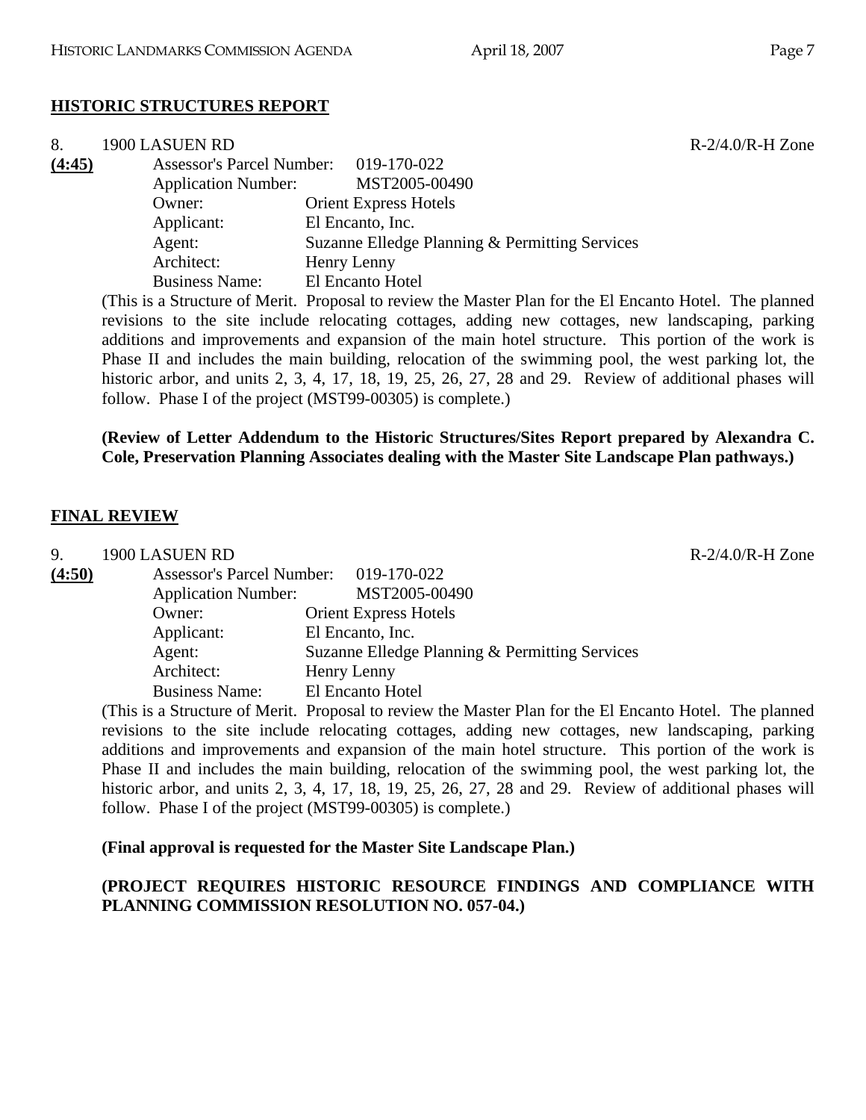# **HISTORIC STRUCTURES REPORT**

| 8.     | 1900 LASUEN RD             |                                                                                                         | $R-2/4.0/R-H$ Zone |
|--------|----------------------------|---------------------------------------------------------------------------------------------------------|--------------------|
| (4:45) |                            | Assessor's Parcel Number: 019-170-022                                                                   |                    |
|        | <b>Application Number:</b> | MST2005-00490                                                                                           |                    |
|        | Owner:                     | <b>Orient Express Hotels</b>                                                                            |                    |
|        | Applicant:                 | El Encanto, Inc.                                                                                        |                    |
|        | Agent:                     | Suzanne Elledge Planning & Permitting Services                                                          |                    |
|        | Architect:                 | Henry Lenny                                                                                             |                    |
|        | <b>Business Name:</b>      | El Encanto Hotel                                                                                        |                    |
|        |                            | (This is a Structure of Merit. Proposal to review the Master Plan for the El Encanto Hotel. The planned |                    |
|        |                            | revisions to the site include relocating cottages, adding new cottages, new landscaping, parking        |                    |

additions and improvements and expansion of the main hotel structure. This portion of the work is Phase II and includes the main building, relocation of the swimming pool, the west parking lot, the historic arbor, and units 2, 3, 4, 17, 18, 19, 25, 26, 27, 28 and 29. Review of additional phases will follow. Phase I of the project (MST99-00305) is complete.)

### **(Review of Letter Addendum to the Historic Structures/Sites Report prepared by Alexandra C. Cole, Preservation Planning Associates dealing with the Master Site Landscape Plan pathways.)**

#### **FINAL REVIEW**

9. 1900 LASUEN RD R-2/4.0/R-H Zone **(4:50)** Assessor's Parcel Number: 019-170-022 Application Number: MST2005-00490 Owner: Orient Express Hotels Applicant: El Encanto, Inc. Agent: Suzanne Elledge Planning & Permitting Services Architect: Henry Lenny Business Name: El Encanto Hotel

(This is a Structure of Merit. Proposal to review the Master Plan for the El Encanto Hotel. The planned revisions to the site include relocating cottages, adding new cottages, new landscaping, parking additions and improvements and expansion of the main hotel structure. This portion of the work is Phase II and includes the main building, relocation of the swimming pool, the west parking lot, the historic arbor, and units 2, 3, 4, 17, 18, 19, 25, 26, 27, 28 and 29. Review of additional phases will follow. Phase I of the project (MST99-00305) is complete.)

### **(Final approval is requested for the Master Site Landscape Plan.)**

### **(PROJECT REQUIRES HISTORIC RESOURCE FINDINGS AND COMPLIANCE WITH PLANNING COMMISSION RESOLUTION NO. 057-04.)**